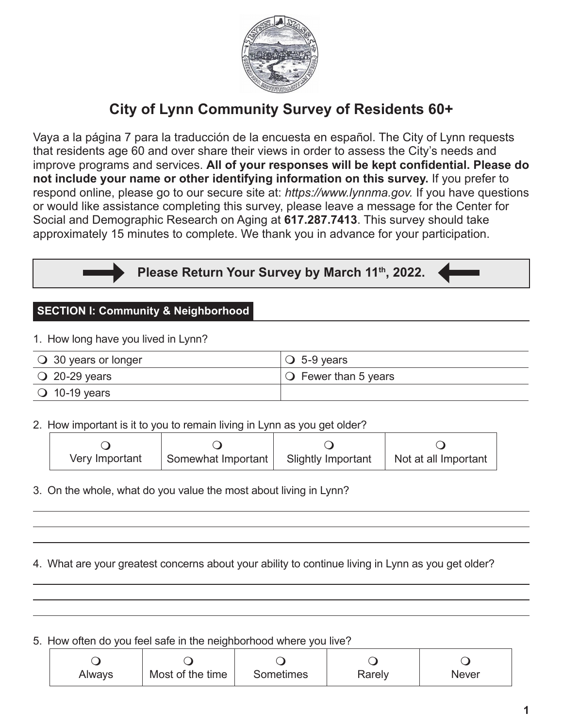

# **City of Lynn Community Survey of Residents 60+**

Vaya a la página 7 para la traducción de la encuesta en español. The City of Lynn requests that residents age 60 and over share their views in order to assess the City's needs and improve programs and services. **All of your responses will be kept confidential. Please do not include your name or other identifying information on this survey.** If you prefer to respond online, please go to our secure site at: *https://www.lynnma.gov.* If you have questions or would like assistance completing this survey, please leave a message for the Center for Social and Demographic Research on Aging at **617.287.7413**. This survey should take approximately 15 minutes to complete. We thank you in advance for your participation.

**Please Return Your Survey by March 11th, 2022.**

### **SECTION I: Community & Neighborhood**

1. How long have you lived in Lynn?

| $\bigcirc$ 30 years or longer | $\overline{)$ O 5-9 years         |
|-------------------------------|-----------------------------------|
| $\bigcirc$ 20-29 years        | $\overline{O}$ Fewer than 5 years |
| $\bigcirc$ 10-19 years        |                                   |

2. How important is it to you to remain living in Lynn as you get older?

| Very Important | Somewhat Important | Slightly Important   Not at all Important |
|----------------|--------------------|-------------------------------------------|

3. On the whole, what do you value the most about living in Lynn?

4. What are your greatest concerns about your ability to continue living in Lynn as you get older?

5. How often do you feel safe in the neighborhood where you live?

| Always | Most of the time | Sometimes | Rarely | <b>Never</b> |
|--------|------------------|-----------|--------|--------------|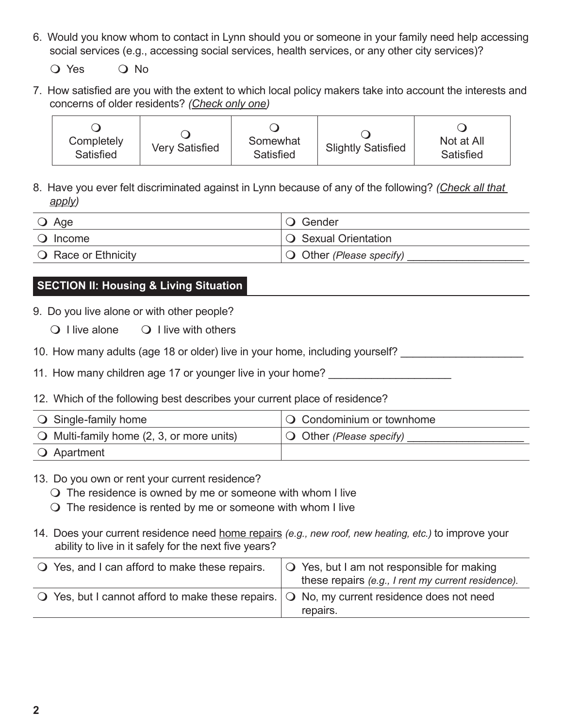6. Would you know whom to contact in Lynn should you or someone in your family need help accessing social services (e.g., accessing social services, health services, or any other city services)?

O Yes O No

7. How satisfied are you with the extent to which local policy makers take into account the interests and concerns of older residents? *(Check only one)* 

| Completely<br>Satisfied | <b>Very Satisfied</b> | Somewhat<br>Satisfied | <b>Slightly Satisfied</b> | Not at All<br>Satisfied |
|-------------------------|-----------------------|-----------------------|---------------------------|-------------------------|
|-------------------------|-----------------------|-----------------------|---------------------------|-------------------------|

8. Have you ever felt discriminated against in Lynn because of any of the following? *(Check all that apply)*

| $\bigcirc$ Age             | <b>O</b> Gender                   |
|----------------------------|-----------------------------------|
| $\bigcirc$ Income          | $\overline{O}$ Sexual Orientation |
| <b>Q</b> Race or Ethnicity | $\bigcirc$ Other (Please specify) |

# **SECTION II: Housing & Living Situation**

9. Do you live alone or with other people?

- $\bigcirc$  I live alone  $\bigcirc$  I live with others
- 10. How many adults (age 18 or older) live in your home, including yourself?
- 11. How many children age 17 or younger live in your home?
- 12. Which of the following best describes your current place of residence?

| $\bigcirc$ Single-family home                      | $\overline{Q}$ Condominium or townhome |
|----------------------------------------------------|----------------------------------------|
| $\bigcirc$ Multi-family home (2, 3, or more units) | $\overline{O}$ Other (Please specify)  |
| <b>O</b> Apartment                                 |                                        |

## 13. Do you own or rent your current residence?

 $\bigcirc$  The residence is owned by me or someone with whom I live

- $\bigcirc$  The residence is rented by me or someone with whom I live
- 14. Does your current residence need home repairs *(e.g., new roof, new heating, etc.)* to improve your ability to live in it safely for the next five years?

| ○ Yes, and I can afford to make these repairs.                                                               | $\overline{Q}$ Yes, but I am not responsible for making<br>these repairs (e.g., I rent my current residence). |
|--------------------------------------------------------------------------------------------------------------|---------------------------------------------------------------------------------------------------------------|
| $\bigcirc$ Yes, but I cannot afford to make these repairs. $\bigcirc$ No, my current residence does not need | repairs.                                                                                                      |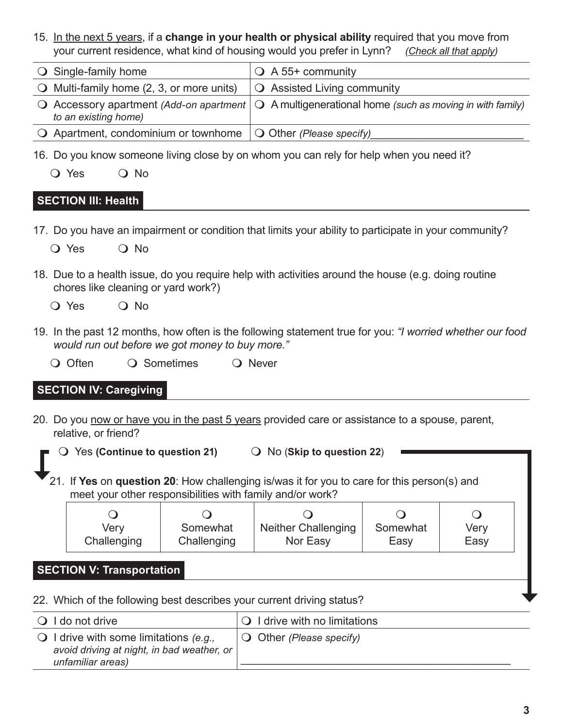15. In the next 5 years, if a **change in your health or physical ability** required that you move from your current residence, what kind of housing would you prefer in Lynn? *(Check all that apply)*

| $\bigcirc$ Single-family home                                                   | $\bigcirc$ A 55+ community                                                                                           |
|---------------------------------------------------------------------------------|----------------------------------------------------------------------------------------------------------------------|
| $\bigcirc$ Multi-family home (2, 3, or more units)                              | $\bigcirc$ Assisted Living community                                                                                 |
| to an existing home)                                                            | $\bigcirc$ Accessory apartment (Add-on apartment $\bigcirc$ A multigenerational home (such as moving in with family) |
| $\bigcirc$ Apartment, condominium or townhome $\bigcirc$ Other (Please specify) |                                                                                                                      |

16. Do you know someone living close by on whom you can rely for help when you need it?

| O Yes |  | $\overline{O}$ No |
|-------|--|-------------------|
|-------|--|-------------------|

## **SECTION III: Health**

- 17. Do you have an impairment or condition that limits your ability to participate in your community? O Yes O No
- 18. Due to a health issue, do you require help with activities around the house (e.g. doing routine chores like cleaning or yard work?)
	- $\overline{O}$  Yes  $\overline{O}$  No
- 19. In the past 12 months, how often is the following statement true for you: *"I worried whether our food would run out before we got money to buy more."*
	- O Often Q Sometimes Q Never

## **SECTION IV: Caregiving**

- 20. Do you now or have you in the past 5 years provided care or assistance to a spouse, parent, relative, or friend?
	- **O** Yes (Continue to question 21) **D** No (Skip to question 22)
	- 21. If **Yes** on **question 20**: How challenging is/was it for you to care for this person(s) and meet your other responsibilities with family and/or work?

| Very        | Somewhat    | <b>Neither Challenging</b> | Somewhat | Very |
|-------------|-------------|----------------------------|----------|------|
| Challenging | Challenging | Nor Easy                   | Easy     | Easy |

## **SECTION V: Transportation**

22. Which of the following best describes your current driving status?

| $\bigcirc$ I do not drive                                                                                          | $\overline{Q}$ I drive with no limitations |
|--------------------------------------------------------------------------------------------------------------------|--------------------------------------------|
| $\bigcirc$ I drive with some limitations (e.g.,<br>avoid driving at night, in bad weather, or<br>unfamiliar areas) | $\bigcirc$ Other (Please specify)          |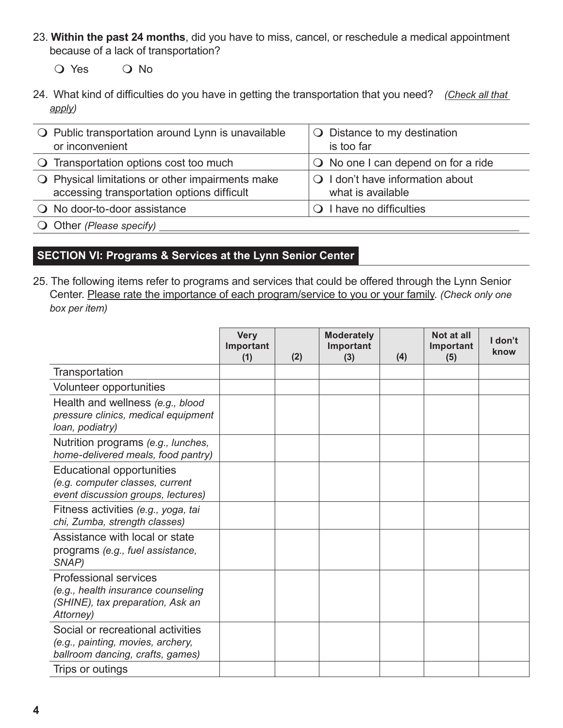- 23. **Within the past 24 months**, did you have to miss, cancel, or reschedule a medical appointment because of a lack of transportation?
	- O Yes O No
- 24. What kind of difficulties do you have in getting the transportation that you need? *(Check all that apply)*

| $\bigcirc$ Public transportation around Lynn is unavailable<br>or inconvenient                          | $\bigcirc$ Distance to my destination<br>is too far            |
|---------------------------------------------------------------------------------------------------------|----------------------------------------------------------------|
| $\bigcirc$ Transportation options cost too much                                                         | $\bigcirc$ No one I can depend on for a ride                   |
| $\bigcirc$ Physical limitations or other impairments make<br>accessing transportation options difficult | $\bigcirc$ I don't have information about<br>what is available |
| O No door-to-door assistance                                                                            | $\bigcirc$ I have no difficulties                              |
| $\bigcirc$ Other (Please specify)                                                                       |                                                                |

### **SECTION VI: Programs & Services at the Lynn Senior Center**

25. The following items refer to programs and services that could be offered through the Lynn Senior Center. Please rate the importance of each program/service to you or your family. *(Check only one box per item)*

|                                                                                                                     | <b>Very</b><br>Important<br>(1) | (2) | <b>Moderately</b><br>Important<br>(3) | (4) | Not at all<br>Important<br>(5) | I don't<br>know |
|---------------------------------------------------------------------------------------------------------------------|---------------------------------|-----|---------------------------------------|-----|--------------------------------|-----------------|
| Transportation                                                                                                      |                                 |     |                                       |     |                                |                 |
| Volunteer opportunities                                                                                             |                                 |     |                                       |     |                                |                 |
| Health and wellness (e.g., blood<br>pressure clinics, medical equipment<br>loan, podiatry)                          |                                 |     |                                       |     |                                |                 |
| Nutrition programs (e.g., lunches,<br>home-delivered meals, food pantry)                                            |                                 |     |                                       |     |                                |                 |
| <b>Educational opportunities</b><br>(e.g. computer classes, current<br>event discussion groups, lectures)           |                                 |     |                                       |     |                                |                 |
| Fitness activities (e.g., yoga, tai<br>chi, Zumba, strength classes)                                                |                                 |     |                                       |     |                                |                 |
| Assistance with local or state<br>programs (e.g., fuel assistance,<br>SNAP)                                         |                                 |     |                                       |     |                                |                 |
| <b>Professional services</b><br>(e.g., health insurance counseling<br>(SHINE), tax preparation, Ask an<br>Attorney) |                                 |     |                                       |     |                                |                 |
| Social or recreational activities<br>(e.g., painting, movies, archery,<br>ballroom dancing, crafts, games)          |                                 |     |                                       |     |                                |                 |
| Trips or outings                                                                                                    |                                 |     |                                       |     |                                |                 |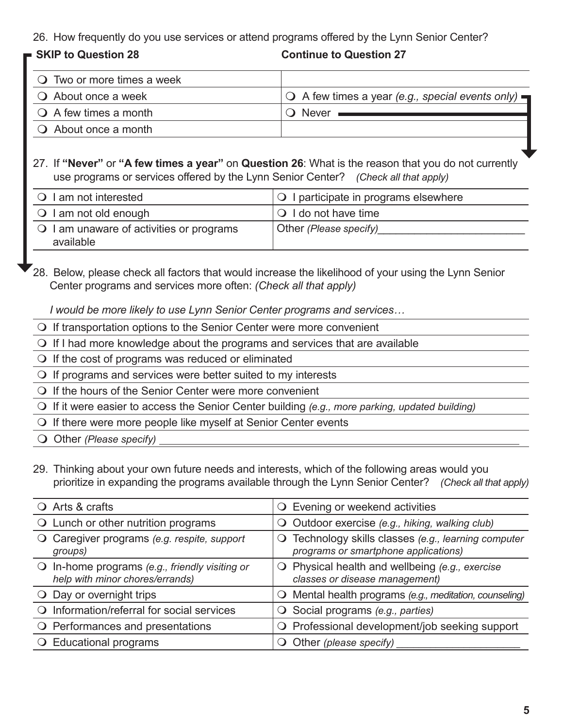26. How frequently do you use services or attend programs offered by the Lynn Senior Center?

 **SKIP to Question 28 Continue to Question 27**

| $\bigcirc$ Two or more times a week |                                                                          |
|-------------------------------------|--------------------------------------------------------------------------|
| $\bigcirc$ About once a week        | $\bigcirc$ A few times a year (e.g., special events only) $\blacksquare$ |
| $\bigcirc$ A few times a month      | Never                                                                    |
| $\bigcirc$ About once a month       |                                                                          |
|                                     |                                                                          |

### 27. If **"Never"** or **"A few times a year"** on **Question 26**: What is the reason that you do not currently use programs or services offered by the Lynn Senior Center? *(Check all that apply)*

| $\bigcirc$ I am not interested                        | <b>O</b> I participate in programs elsewhere |
|-------------------------------------------------------|----------------------------------------------|
| $\bigcirc$ I am not old enough                        | $\overline{\bigcirc}$ I do not have time     |
| O I am unaware of activities or programs<br>available | Other (Please specify)                       |

28. Below, please check all factors that would increase the likelihood of your using the Lynn Senior Center programs and services more often: *(Check all that apply)*

*I would be more likely to use Lynn Senior Center programs and services…*

- $\Omega$  If transportation options to the Senior Center were more convenient
- $\bigcirc$  If I had more knowledge about the programs and services that are available
- $\overline{O}$  If the cost of programs was reduced or eliminated
- $\Omega$  If programs and services were better suited to my interests
- $\bigcirc$  If the hours of the Senior Center were more convenient
- m If it were easier to access the Senior Center building *(e.g., more parking, updated building)*
- $\bigcirc$  If there were more people like myself at Senior Center events
- O Other *(Please specify)*
- 29. Thinking about your own future needs and interests, which of the following areas would you prioritize in expanding the programs available through the Lynn Senior Center? *(Check all that apply)*

| $\bigcirc$ Arts & crafts          |                                                                                   |             | O Evening or weekend activities                                                              |
|-----------------------------------|-----------------------------------------------------------------------------------|-------------|----------------------------------------------------------------------------------------------|
|                                   | O Lunch or other nutrition programs                                               |             | O Outdoor exercise (e.g., hiking, walking club)                                              |
| $\cup$<br>groups)                 | Caregiver programs (e.g. respite, support                                         |             | O Technology skills classes (e.g., learning computer<br>programs or smartphone applications) |
|                                   | O In-home programs (e.g., friendly visiting or<br>help with minor chores/errands) |             | $\bigcirc$ Physical health and wellbeing (e.g., exercise<br>classes or disease management)   |
| $\bigcirc$ Day or overnight trips |                                                                                   |             | O Mental health programs (e.g., meditation, counseling)                                      |
| $\Omega$                          | Information/referral for social services                                          |             | $\bigcirc$ Social programs (e.g., parties)                                                   |
|                                   | O Performances and presentations                                                  |             | O Professional development/job seeking support                                               |
| O Educational programs            |                                                                                   | $\bm{\cup}$ | Other (please specify)                                                                       |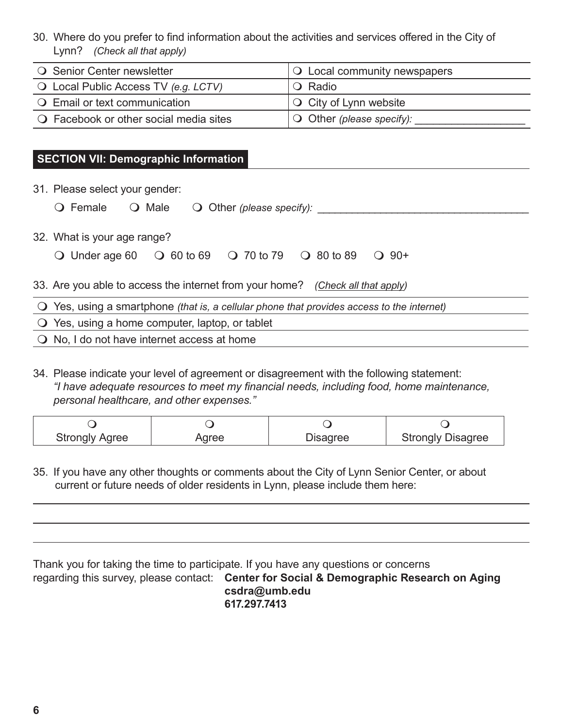30. Where do you prefer to find information about the activities and services offered in the City of Lynn? *(Check all that apply)*

| ○ Senior Center newsletter                      | $\overline{Q}$ Local community newspapers |
|-------------------------------------------------|-------------------------------------------|
| $\bigcirc$ Local Public Access TV (e.g. LCTV)   | IO Radio                                  |
| <b>Q</b> Email or text communication            | $\overline{)}$ City of Lynn website       |
| $\bigcirc$ Facebook or other social media sites | $\bigcirc$ Other (please specify):        |

### **SECTION VII: Demographic Information**

31. Please select your gender:

**O** Female Q Male Q Other *(please specify):* 

32. What is your age range?

| O Under age 60 O 60 to 69 O 70 to 79 O 80 to 89 O 90+ |  |  |  |  |
|-------------------------------------------------------|--|--|--|--|
|-------------------------------------------------------|--|--|--|--|

33. Are you able to access the internet from your home? *(Check all that apply)*

m Yes, using a smartphone *(that is, a cellular phone that provides access to the internet)*

 $\bigcirc$  Yes, using a home computer, laptop, or tablet

 $\bigcirc$  No, I do not have internet access at home

34. Please indicate your level of agreement or disagreement with the following statement: *"I have adequate resources to meet my financial needs, including food, home maintenance, personal healthcare, and other expenses."*

| <b>Strongly Agree</b> | Aaree | Disagree | <b>Strongly Disagree</b> |
|-----------------------|-------|----------|--------------------------|

35. If you have any other thoughts or comments about the City of Lynn Senior Center, or about current or future needs of older residents in Lynn, please include them here:

Thank you for taking the time to participate. If you have any questions or concerns regarding this survey, please contact: **Center for Social & Demographic Research on Aging csdra@umb.edu 617.297.7413**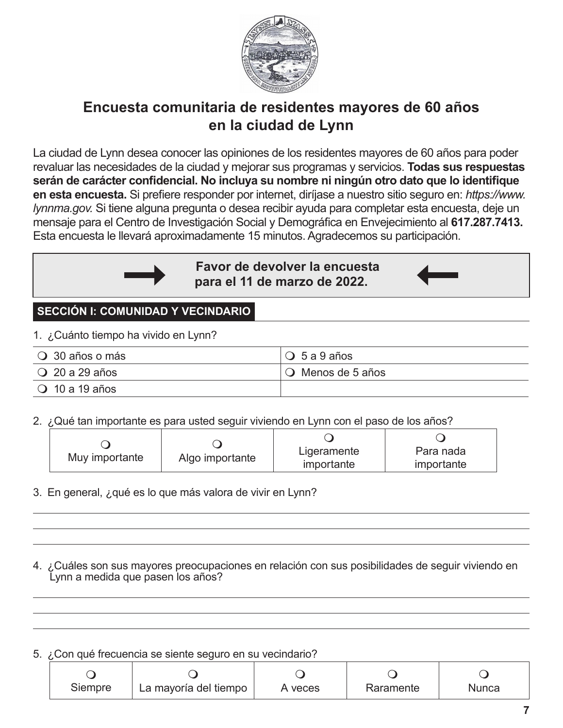

# **Encuesta comunitaria de residentes mayores de 60 años en la ciudad de Lynn**

La ciudad de Lynn desea conocer las opiniones de los residentes mayores de 60 años para poder revaluar las necesidades de la ciudad y mejorar sus programas y servicios. **Todas sus respuestas serán de carácter confidencial. No incluya su nombre ni ningún otro dato que lo identifique en esta encuesta.** Si prefiere responder por internet, diríjase a nuestro sitio seguro en: *https://www. lynnma.gov.* Si tiene alguna pregunta o desea recibir ayuda para completar esta encuesta, deje un mensaje para el Centro de Investigación Social y Demográfica en Envejecimiento al **617.287.7413.** Esta encuesta le llevará aproximadamente 15 minutos. Agradecemos su participación.



**Favor de devolver la encuesta para el 11 de marzo de 2022.**



# **SECCIÓN I: COMUNIDAD Y VECINDARIO**

1. ¿Cuánto tiempo ha vivido en Lynn?

| $\bigcirc$ 30 años o más | $\overline{O}$ 5 a 9 años |
|--------------------------|---------------------------|
| $\bigcirc$ 20 a 29 años  | O Menos de 5 años         |
| $\bigcirc$ 10 a 19 años  |                           |

2. ¿Qué tan importante es para usted seguir viviendo en Lynn con el paso de los años?

|                |                 | Ligeramente | Para nada  |
|----------------|-----------------|-------------|------------|
| Muy importante | Algo importante | importante  | importante |

- 3. En general, ¿qué es lo que más valora de vivir en Lynn?
- 4. ¿Cuáles son sus mayores preocupaciones en relación con sus posibilidades de seguir viviendo en Lynn a medida que pasen los años?

5. ¿Con qué frecuencia se siente seguro en su vecindario?

| Siempre | La mayoría del tiempo | A veces | Raramente | Nunca |
|---------|-----------------------|---------|-----------|-------|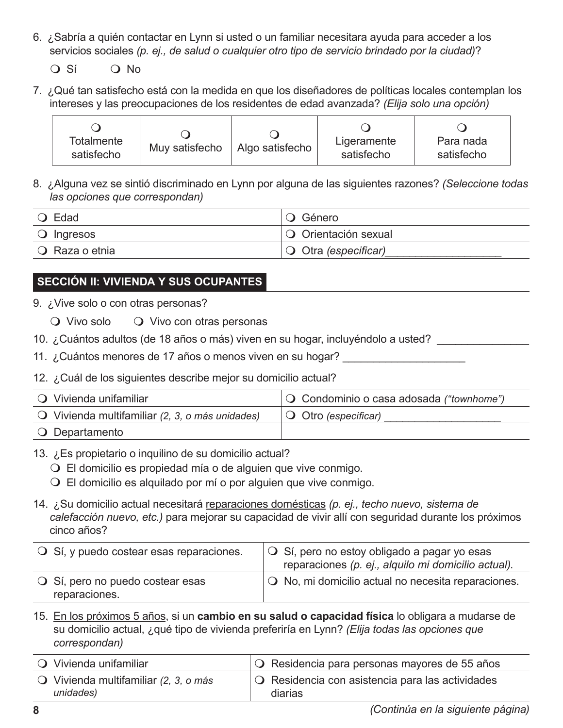6. ¿Sabría a quién contactar en Lynn si usted o un familiar necesitara ayuda para acceder a los servicios sociales *(p. ej., de salud o cualquier otro tipo de servicio brindado por la ciudad)*?

 $O$  Sí  $O$  No

7. ¿Qué tan satisfecho está con la medida en que los diseñadores de políticas locales contemplan los intereses y las preocupaciones de los residentes de edad avanzada? *(Elija solo una opción)*

| Totalmente<br>satisfecho | Muy satisfecho | Algo satisfecho | Ligeramente<br>satisfecho | Para nada<br>satisfecho |
|--------------------------|----------------|-----------------|---------------------------|-------------------------|
|--------------------------|----------------|-----------------|---------------------------|-------------------------|

8. ¿Alguna vez se sintió discriminado en Lynn por alguna de las siguientes razones? *(Seleccione todas las opciones que correspondan)*

| $\bigcirc$ Edad     | O Género                          |
|---------------------|-----------------------------------|
| $\bigcirc$ Ingresos | O Orientación sexual              |
| ○ Raza o etnia      | $\overline{O}$ Otra (especificar) |

# **SECCIÓN II: VIVIENDA Y SUS OCUPANTES**

9. ¿Vive solo o con otras personas?

|  | $\bigcirc$ Vivo solo |  | O Vivo con otras personas |
|--|----------------------|--|---------------------------|
|--|----------------------|--|---------------------------|

10. ¿Cuántos adultos (de 18 años o más) viven en su hogar, incluyéndolo a usted? \_\_\_\_\_\_\_\_\_\_\_\_\_\_\_

11. ¿Cuántos menores de 17 años o menos viven en su hogar? \_\_\_\_\_\_\_\_\_\_\_\_\_\_\_

## 12. ¿Cuál de los siguientes describe mejor su domicilio actual?

| ○ Vivienda unifamiliar                                   | O Condominio o casa adosada ("townhome") |
|----------------------------------------------------------|------------------------------------------|
| $\bigcirc$ Vivienda multifamiliar (2, 3, o más unidades) | $\overline{O}$ Otro (especificar)        |
| O Departamento                                           |                                          |

## 13. ¿Es propietario o inquilino de su domicilio actual?

 $\bigcirc$  El domicilio es propiedad mía o de alguien que vive conmigo.

 $\overline{O}$  El domicilio es alguilado por mí o por alguien que vive conmigo.

14. ¿Su domicilio actual necesitará reparaciones domésticas *(p. ej., techo nuevo, sistema de calefacción nuevo, etc.)* para mejorar su capacidad de vivir allí con seguridad durante los próximos cinco años?

| $\bigcirc$ Sí, y puedo costear esas reparaciones. | $\overline{O}$ Sí, pero no estoy obligado a pagar yo esas<br>reparaciones (p. ej., alquilo mi domicilio actual). |
|---------------------------------------------------|------------------------------------------------------------------------------------------------------------------|
| ○ Sí, pero no puedo costear esas<br>reparaciones. | $\overline{Q}$ No, mi domicilio actual no necesita reparaciones.                                                 |

15. En los próximos 5 años, si un **cambio en su salud o capacidad física** lo obligara a mudarse de su domicilio actual, ¿qué tipo de vivienda preferiría en Lynn? *(Elija todas las opciones que correspondan)*

| ○ Vivienda unifamiliar                                      | $\overline{Q}$ Residencia para personas mayores de 55 años               |
|-------------------------------------------------------------|--------------------------------------------------------------------------|
| $\bigcirc$ Vivienda multifamiliar (2, 3, o más<br>unidades) | $\overline{Q}$ Residencia con asistencia para las actividades<br>diarias |
|                                                             |                                                                          |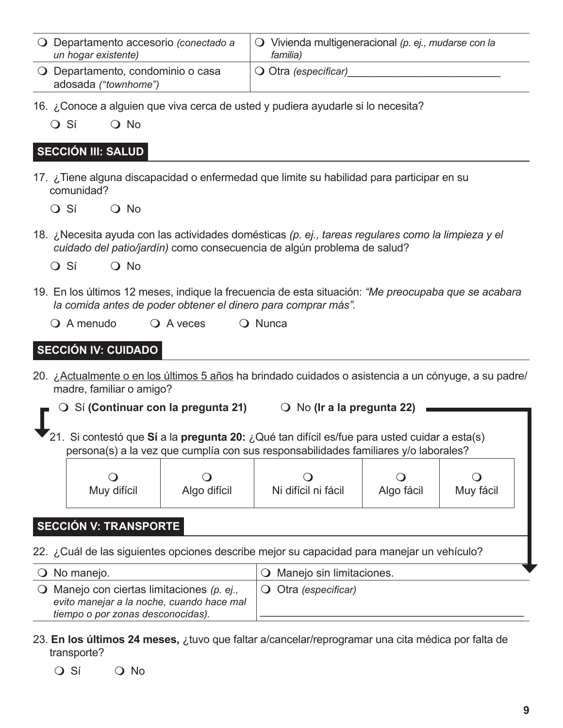| O Departamento accesorio (conectado a<br>un hogar existente) | $\circ$ Vivienda multigeneracional (p. ej., mudarse con la<br>familia) |
|--------------------------------------------------------------|------------------------------------------------------------------------|
| O Departamento, condominio o casa<br>adosada ("townhome")    | $\overline{\bigcirc}$ Otra (especificar)                               |

- 16. ¿Conoce a alguien que viva cerca de usted y pudiera ayudarle si lo necesita?
	- $\overline{O}$  Sí  $\overline{O}$  No

### **SECCIÓN III: SALUD**

17. ¿Tiene alguna discapacidad o enfermedad que limite su habilidad para participar en su comunidad?

 $O$  Sí  $O$  No

- 18. ¿Necesita ayuda con las actividades domésticas *(p. ej., tareas regulares como la limpieza y el cuidado del patio/jardín)* como consecuencia de algún problema de salud?
	- $O \nS$ í  $O \nN$ o
- 19. En los últimos 12 meses, indique la frecuencia de esta situación: *"Me preocupaba que se acabara la comida antes de poder obtener el dinero para comprar más".*
	- O A menudo O A veces O Nunca

### **SECCIÓN IV: CUIDADO**

- 20. ¿Actualmente o en los últimos 5 años ha brindado cuidados o asistencia a un cónyuge, a su padre/ madre, familiar o amigo?
	- **O** Sí **(Continuar con la pregunta 21) O** No **(Ir a la pregunta 22)** 
		- 21. Si contestó que **Sí** a la **pregunta 20:** ¿Qué tan difícil es/fue para usted cuidar a esta(s) persona(s) a la vez que cumplía con sus responsabilidades familiares y/o laborales?

| Muy difícil | Algo difícil | Ni difícil ni fácil | Algo fácil | Muy fácil |  |
|-------------|--------------|---------------------|------------|-----------|--|
|             |              |                     |            |           |  |

## **SECCIÓN V: TRANSPORTE**

22. ¿Cuál de las siguientes opciones describe mejor su capacidad para manejar un vehículo?

| $\bigcirc$ No manejo.                                                                                                                | O Manejo sin limitaciones.    |  |
|--------------------------------------------------------------------------------------------------------------------------------------|-------------------------------|--|
| $\bigcirc$ Manejo con ciertas limitaciones (p. e.,<br>evito manejar a la noche, cuando hace mal<br>tiempo o por zonas desconocidas). | $\bigcirc$ Otra (especificar) |  |

- 23. **En los últimos 24 meses,** ¿tuvo que faltar a/cancelar/reprogramar una cita médica por falta de transporte?
	- $\overline{O}$  Sí  $\overline{O}$  No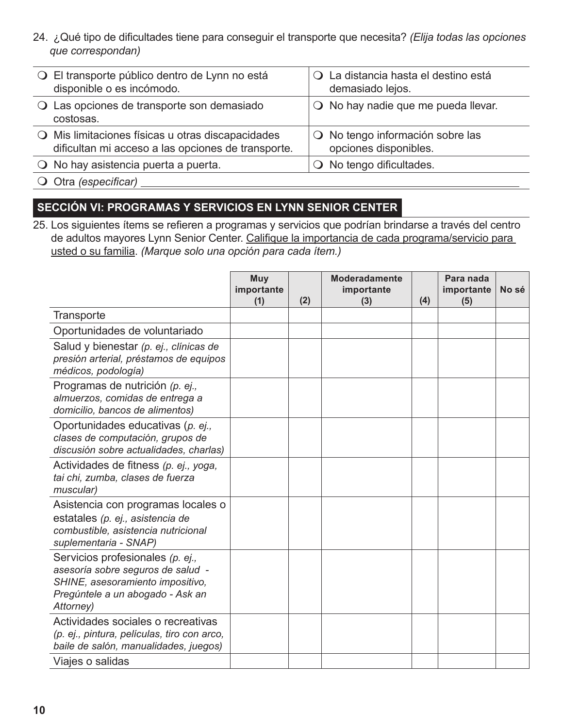24. ¿Qué tipo de dificultades tiene para conseguir el transporte que necesita? *(Elija todas las opciones que correspondan)*

| O El transporte público dentro de Lynn no está<br>disponible o es incómodo.                             |          | O La distancia hasta el destino está<br>demasiado lejos. |
|---------------------------------------------------------------------------------------------------------|----------|----------------------------------------------------------|
| O Las opciones de transporte son demasiado<br>costosas.                                                 |          | $\bigcirc$ No hay nadie que me pueda llevar.             |
| O Mis limitaciones físicas u otras discapacidades<br>dificultan mi acceso a las opciones de transporte. | $\Omega$ | No tengo información sobre las<br>opciones disponibles.  |
| $\overline{O}$ No hay asistencia puerta a puerta.                                                       |          | No tengo dificultades.                                   |
| $\bigcirc$ Otra (especificar)                                                                           |          |                                                          |

## **SECCIÓN VI: PROGRAMAS Y SERVICIOS EN LYNN SENIOR CENTER**

25. Los siguientes ítems se refieren a programas y servicios que podrían brindarse a través del centro de adultos mayores Lynn Senior Center. Califique la importancia de cada programa/servicio para usted o su familia. *(Marque solo una opción para cada ítem.)*

|                                                                                                                                                            | Muy<br>importante<br>(1) | (2) | <b>Moderadamente</b><br>importante<br>(3) | (4) | Para nada<br>importante<br>(5) | No sé |
|------------------------------------------------------------------------------------------------------------------------------------------------------------|--------------------------|-----|-------------------------------------------|-----|--------------------------------|-------|
| Transporte                                                                                                                                                 |                          |     |                                           |     |                                |       |
| Oportunidades de voluntariado                                                                                                                              |                          |     |                                           |     |                                |       |
| Salud y bienestar (p. ej., clínicas de<br>presión arterial, préstamos de equipos<br>médicos, podología)                                                    |                          |     |                                           |     |                                |       |
| Programas de nutrición (p. ej.,<br>almuerzos, comidas de entrega a<br>domicilio, bancos de alimentos)                                                      |                          |     |                                           |     |                                |       |
| Oportunidades educativas (p. ej.,<br>clases de computación, grupos de<br>discusión sobre actualidades, charlas)                                            |                          |     |                                           |     |                                |       |
| Actividades de fitness (p. ej., yoga,<br>tai chi, zumba, clases de fuerza<br>muscular)                                                                     |                          |     |                                           |     |                                |       |
| Asistencia con programas locales o<br>estatales (p. ej., asistencia de<br>combustible, asistencia nutricional<br>suplementaria - SNAP)                     |                          |     |                                           |     |                                |       |
| Servicios profesionales (p. ej.,<br>asesoría sobre seguros de salud -<br>SHINE, asesoramiento impositivo,<br>Pregúntele a un abogado - Ask an<br>Attorney) |                          |     |                                           |     |                                |       |
| Actividades sociales o recreativas<br>(p. ej., pintura, películas, tiro con arco,<br>baile de salón, manualidades, juegos)                                 |                          |     |                                           |     |                                |       |
| Viajes o salidas                                                                                                                                           |                          |     |                                           |     |                                |       |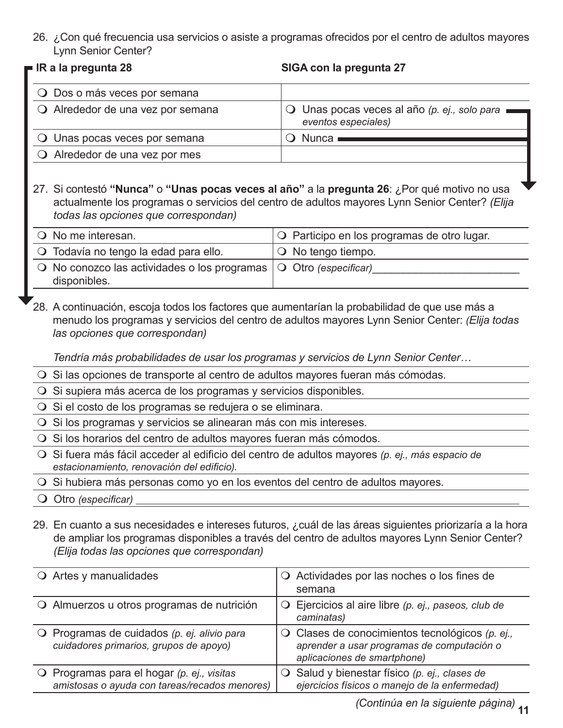26. ¿Con qué frecuencia usa servicios o asiste a programas ofrecidos por el centro de adultos mayores Lynn Senior Center?

|  |  |  |  | ■ IR a la pregunta 28 |  |
|--|--|--|--|-----------------------|--|
|--|--|--|--|-----------------------|--|

#### **IR a la pregunta 28 SIGA con la pregunta 27**

| O Dos o más veces por semana            |                                                                       |
|-----------------------------------------|-----------------------------------------------------------------------|
| O Alrededor de una vez por semana       | O Unas pocas veces al año (p. ej., solo para ■<br>eventos especiales) |
| <b>Q</b> Unas pocas veces por semana    | $\bigcirc$ Nunca $\blacksquare$                                       |
| $\bigcirc$ Alrededor de una vez por mes |                                                                       |

27. Si contestó **"Nunca"** o **"Unas pocas veces al año"** a la **pregunta 26**: ¿Por qué motivo no usa actualmente los programas o servicios del centro de adultos mayores Lynn Senior Center? *(Elija todas las opciones que correspondan)*

| O No me interesan.                                                                            | O Participo en los programas de otro lugar. |
|-----------------------------------------------------------------------------------------------|---------------------------------------------|
| O Todavía no tengo la edad para ello.                                                         | $\overline{O}$ No tengo tiempo.             |
| $\circ$ No conozco las actividades o los programas $\circ$ Otro (especificar)<br>disponibles. |                                             |

28. A continuación, escoja todos los factores que aumentarían la probabilidad de que use más a menudo los programas y servicios del centro de adultos mayores Lynn Senior Center: *(Elija todas las opciones que correspondan)*

*Tendría más probabilidades de usar los programas y servicios de Lynn Senior Center…*

- O Si las opciones de transporte al centro de adultos mayores fueran más cómodas.
- $\overline{O}$  Si supiera más acerca de los programas y servicios disponibles.
- $\overline{O}$  Si el costo de los programas se redujera o se eliminara.
- O Si los programas y servicios se alinearan más con mis intereses.
- $\overline{O}$  Si los horarios del centro de adultos mayores fueran más cómodos.
- m Si fuera más fácil acceder al edificio del centro de adultos mayores *(p. ej., más espacio de estacionamiento, renovación del edificio).*

O Si hubiera más personas como yo en los eventos del centro de adultos mayores.

O Otro *(especificar)* 

29. En cuanto a sus necesidades e intereses futuros, ¿cuál de las áreas siguientes priorizaría a la hora de ampliar los programas disponibles a través del centro de adultos mayores Lynn Senior Center? *(Elija todas las opciones que correspondan)*

| $\bigcirc$ Artes y manualidades                                                                | O Actividades por las noches o los fines de<br>semana                                                                                 |
|------------------------------------------------------------------------------------------------|---------------------------------------------------------------------------------------------------------------------------------------|
| O Almuerzos u otros programas de nutrición                                                     | $\bigcirc$ Ejercicios al aire libre (p. ej., paseos, club de<br>caminatas)                                                            |
| $\bigcirc$ Programas de cuidados (p. ej. alivio para<br>cuidadores primarios, grupos de apoyo) | $\bigcirc$ Clases de conocimientos tecnológicos (p. ej.,<br>aprender a usar programas de computación o<br>aplicaciones de smartphone) |
| O Programas para el hogar $(p. ej.$ , visitas<br>amistosas o ayuda con tareas/recados menores) | $\bigcirc$ Salud y bienestar físico (p. ej., clases de<br>ejercicios físicos o manejo de la enfermedad)                               |

**11** *(Continúa en la siguiente página)*